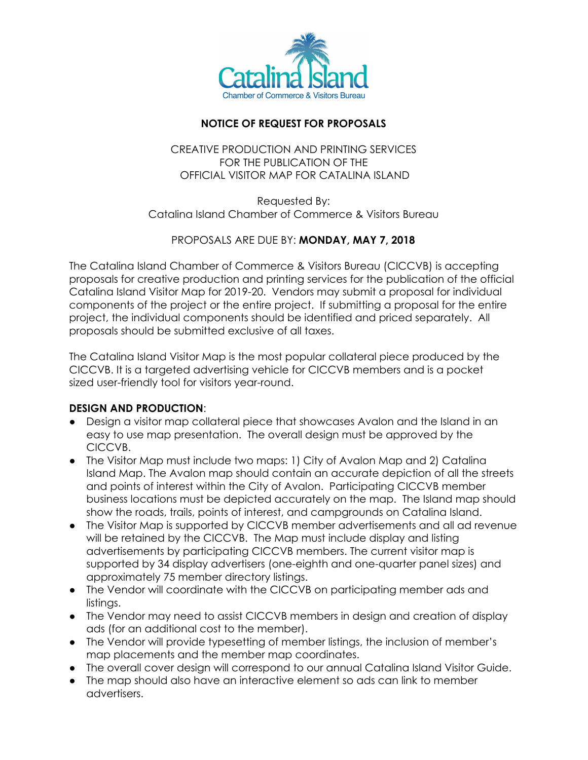

# **NOTICE OF REQUEST FOR PROPOSALS**

## CREATIVE PRODUCTION AND PRINTING SERVICES FOR THE PUBLICATION OF THE OFFICIAL VISITOR MAP FOR CATALINA ISLAND

Requested By: Catalina Island Chamber of Commerce & Visitors Bureau

# PROPOSALS ARE DUE BY: **MONDAY, MAY 7, 2018**

The Catalina Island Chamber of Commerce & Visitors Bureau (CICCVB) is accepting proposals for creative production and printing services for the publication of the official Catalina Island Visitor Map for 2019-20. Vendors may submit a proposal for individual components of the project or the entire project. If submitting a proposal for the entire project, the individual components should be identified and priced separately. All proposals should be submitted exclusive of all taxes.

The Catalina Island Visitor Map is the most popular collateral piece produced by the CICCVB. It is a targeted advertising vehicle for CICCVB members and is a pocket sized user-friendly tool for visitors year-round.

## **DESIGN AND PRODUCTION**:

- Design a visitor map collateral piece that showcases Avalon and the Island in an easy to use map presentation. The overall design must be approved by the CICCVB.
- The Visitor Map must include two maps: 1) City of Avalon Map and 2) Catalina Island Map. The Avalon map should contain an accurate depiction of all the streets and points of interest within the City of Avalon. Participating CICCVB member business locations must be depicted accurately on the map. The Island map should show the roads, trails, points of interest, and campgrounds on Catalina Island.
- The Visitor Map is supported by CICCVB member advertisements and all ad revenue will be retained by the CICCVB. The Map must include display and listing advertisements by participating CICCVB members. The current visitor map is supported by 34 display advertisers (one-eighth and one-quarter panel sizes) and approximately 75 member directory listings.
- The Vendor will coordinate with the CICCVB on participating member ads and listings.
- The Vendor may need to assist CICCVB members in design and creation of display ads (for an additional cost to the member).
- The Vendor will provide typesetting of member listings, the inclusion of member's map placements and the member map coordinates.
- The overall cover design will correspond to our annual Catalina Island Visitor Guide.
- The map should also have an interactive element so ads can link to member advertisers.